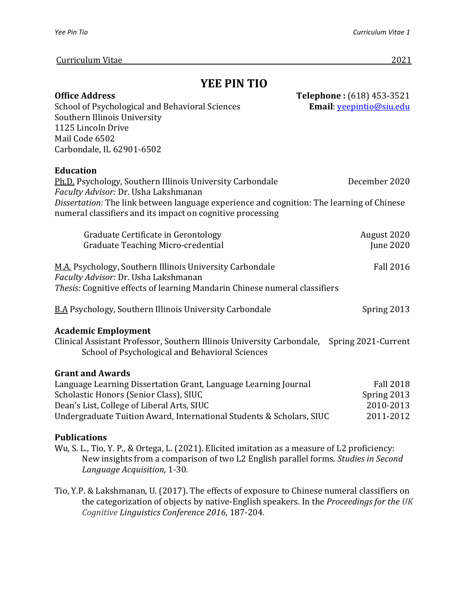#### Curriculum Vitae 2021

# **YEE PIN TIO**

| <b>Office Address</b>                                                                                                                                   | Telephone: (618) 453-3521       |
|---------------------------------------------------------------------------------------------------------------------------------------------------------|---------------------------------|
| School of Psychological and Behavioral Sciences                                                                                                         | Email: <i>yeepintio@siu.edu</i> |
| Southern Illinois University                                                                                                                            |                                 |
| 1125 Lincoln Drive                                                                                                                                      |                                 |
| Mail Code 6502                                                                                                                                          |                                 |
| Carbondale, IL 62901-6502                                                                                                                               |                                 |
| <b>Education</b>                                                                                                                                        |                                 |
| Ph.D. Psychology, Southern Illinois University Carbondale<br>Faculty Advisor: Dr. Usha Lakshmanan                                                       | December 2020                   |
| Dissertation: The link between language experience and cognition: The learning of Chinese<br>numeral classifiers and its impact on cognitive processing |                                 |
| Graduate Certificate in Gerontology                                                                                                                     | August 2020                     |
| Graduate Teaching Micro-credential                                                                                                                      | <b>June 2020</b>                |
| M.A. Psychology, Southern Illinois University Carbondale<br>Faculty Advisor: Dr. Usha Lakshmanan                                                        | <b>Fall 2016</b>                |
| Thesis: Cognitive effects of learning Mandarin Chinese numeral classifiers                                                                              |                                 |
| <b>B.A Psychology, Southern Illinois University Carbondale</b>                                                                                          | Spring 2013                     |
| <b>Academic Employment</b>                                                                                                                              |                                 |
| Clinical Assistant Professor, Southern Illinois University Carbondale, Spring 2021-Current<br>School of Psychological and Behavioral Sciences           |                                 |
| <b>Grant and Awards</b>                                                                                                                                 |                                 |
| Language Learning Dissertation Grant, Language Learning Journal                                                                                         | <b>Fall 2018</b>                |
| Scholastic Honors (Senior Class), SIUC                                                                                                                  | Spring 2013                     |
| Dean's List, College of Liberal Arts, SIUC                                                                                                              | 2010-2013                       |
| Undergraduate Tuition Award, International Students & Scholars, SIUC                                                                                    | 2011-2012                       |
|                                                                                                                                                         |                                 |

# **Publications**

- Wu, S. L., Tio, Y. P., & Ortega, L. (2021). Elicited imitation as a measure of L2 proficiency: New insights from a comparison of two L2 English parallel forms. *Studies in Second Language Acquisition*, 1-30.
- Tio, Y.P. & Lakshmanan, U. (2017). The effects of exposure to Chinese numeral classifiers on the categorization of objects by native-English speakers. In the *Proceedings for the UK Cognitive Linguistics Conference 2016,* 187-204.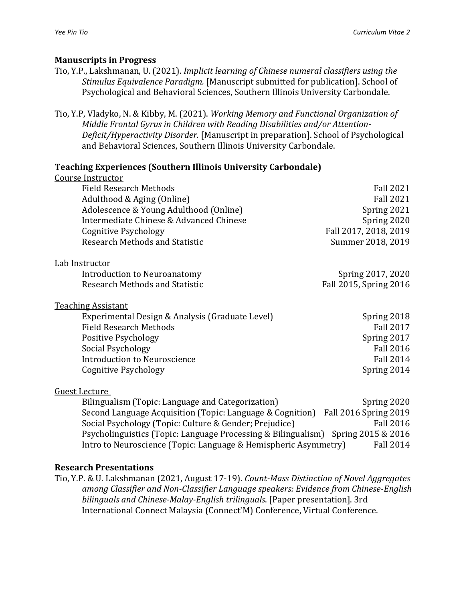#### **Manuscripts in Progress**

- Tio, Y.P., Lakshmanan, U. (2021). *Implicit learning of Chinese numeral classifiers using the Stimulus Equivalence Paradigm.* [Manuscript submitted for publication]. School of Psychological and Behavioral Sciences, Southern Illinois University Carbondale.
- Tio, Y.P, Vladyko, N. & Kibby, M. (2021). *Working Memory and Functional Organization of Middle Frontal Gyrus in Children with Reading Disabilities and/or Attention-Deficit/Hyperactivity Disorder.* [Manuscript in preparation]. School of Psychological and Behavioral Sciences, Southern Illinois University Carbondale.

#### **Teaching Experiences (Southern Illinois University Carbondale)**

| Course Instructor                                         |                              |
|-----------------------------------------------------------|------------------------------|
| <b>Field Research Methods</b>                             | <b>Fall 2021</b>             |
| Adulthood & Aging (Online)                                | <b>Fall 2021</b>             |
| Adolescence & Young Adulthood (Online)                    | Spring 2021                  |
| Intermediate Chinese & Advanced Chinese                   | Spring 2020                  |
| Cognitive Psychology                                      | Fall 2017, 2018, 2019        |
| <b>Research Methods and Statistic</b>                     | Summer 2018, 2019            |
| <u>Lab Instructor</u>                                     |                              |
| Introduction to Neuroanatomy                              | Spring 2017, 2020            |
| Research Methods and Statistic                            | Fall 2015, Spring 2016       |
| <b>Teaching Assistant</b>                                 |                              |
| Experimental Design & Analysis (Graduate Level)           | Spring 2018                  |
| <b>Field Research Methods</b>                             | <b>Fall 2017</b>             |
| Positive Psychology                                       | Spring 2017                  |
| Social Psychology                                         | <b>Fall 2016</b>             |
| <b>Introduction to Neuroscience</b>                       | <b>Fall 2014</b>             |
| Cognitive Psychology                                      | Spring 2014                  |
| Guest Lecture                                             |                              |
| Bilingualism (Topic: Language and Categorization)         | Spring 2020                  |
| Second Language Acquisition (Topic: Language & Cognition) | <b>Fall 2016 Spring 2019</b> |

Social Psychology (Topic: Culture & Gender; Prejudice) Fall 2016 Psycholinguistics (Topic: Language Processing & Bilingualism) Spring 2015 & 2016 Intro to Neuroscience (Topic: Language & Hemispheric Asymmetry) Fall 2014

#### **Research Presentations**

Tio, Y.P. & U. Lakshmanan (2021, August 17-19). *Count-Mass Distinction of Novel Aggregates among Classifier and Non-Classifier Language speakers: Evidence from Chinese-English bilinguals and Chinese-Malay-English trilinguals*. [Paper presentation]. 3rd International Connect Malaysia (Connect'M) Conference, Virtual Conference.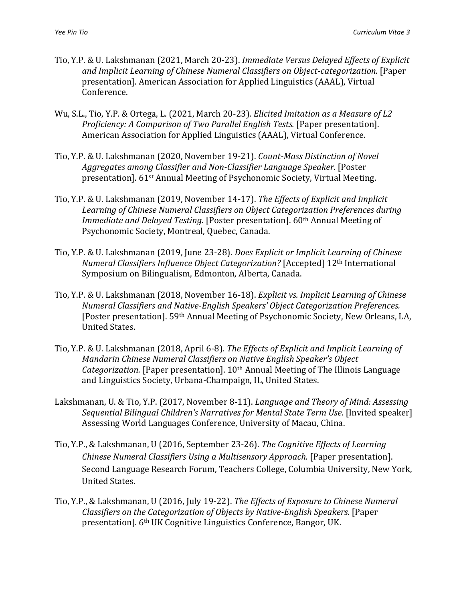- Tio, Y.P. & U. Lakshmanan (2021, March 20-23). *Immediate Versus Delayed Effects of Explicit and Implicit Learning of Chinese Numeral Classifiers on Object-categorization.* [Paper presentation]. American Association for Applied Linguistics (AAAL), Virtual Conference.
- Wu, S.L., Tio, Y.P. & Ortega, L. (2021, March 20-23). *Elicited Imitation as a Measure of L2 Proficiency: A Comparison of Two Parallel English Tests.* [Paper presentation]. American Association for Applied Linguistics (AAAL), Virtual Conference.
- Tio, Y.P. & U. Lakshmanan (2020, November 19-21). *Count-Mass Distinction of Novel Aggregates among Classifier and Non-Classifier Language Speaker.* [Poster presentation]. 61st Annual Meeting of Psychonomic Society, Virtual Meeting.
- Tio, Y.P. & U. Lakshmanan (2019, November 14-17). *The Effects of Explicit and Implicit Learning of Chinese Numeral Classifiers on Object Categorization Preferences during Immediate and Delayed Testing.* [Poster presentation]. 60<sup>th</sup> Annual Meeting of Psychonomic Society, Montreal, Quebec, Canada.
- Tio, Y.P. & U. Lakshmanan (2019, June 23-28). *Does Explicit or Implicit Learning of Chinese Numeral Classifiers Influence Object Categorization?* [Accepted] 12th International Symposium on Bilingualism, Edmonton, Alberta, Canada.
- Tio, Y.P. & U. Lakshmanan (2018, November 16-18). *Explicit vs. Implicit Learning of Chinese Numeral Classifiers and Native-English Speakers' Object Categorization Preferences.*  [Poster presentation]. 59th Annual Meeting of Psychonomic Society, New Orleans, LA, United States.
- Tio, Y.P. & U. Lakshmanan (2018, April 6-8). *The Effects of Explicit and Implicit Learning of Mandarin Chinese Numeral Classifiers on Native English Speaker's Object Categorization.* [Paper presentation]. 10th Annual Meeting of The Illinois Language and Linguistics Society, Urbana-Champaign, IL, United States.
- Lakshmanan, U. & Tio, Y.P. (2017, November 8-11). *Language and Theory of Mind: Assessing Sequential Bilingual Children's Narratives for Mental State Term Use*. [Invited speaker] Assessing World Languages Conference, University of Macau, China.
- Tio, Y.P., & Lakshmanan, U (2016, September 23-26). *The Cognitive Effects of Learning Chinese Numeral Classifiers Using a Multisensory Approach.* [Paper presentation]. Second Language Research Forum, Teachers College, Columbia University, New York, United States.
- Tio, Y.P., & Lakshmanan, U (2016, July 19-22). *The Effects of Exposure to Chinese Numeral Classifiers on the Categorization of Objects by Native-English Speakers.* [Paper presentation]. 6th UK Cognitive Linguistics Conference, Bangor, UK.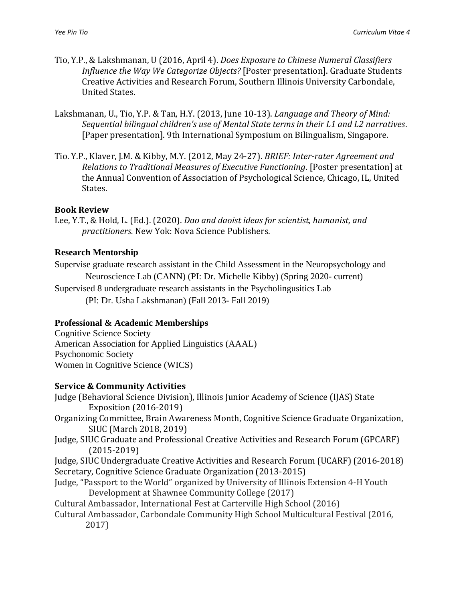- Tio, Y.P., & Lakshmanan, U (2016, April 4). *Does Exposure to Chinese Numeral Classifiers Influence the Way We Categorize Objects?* [Poster presentation]. Graduate Students Creative Activities and Research Forum, Southern Illinois University Carbondale, United States.
- Lakshmanan, U., Tio, Y.P. & Tan, H.Y. (2013, June 10-13). *Language and Theory of Mind: Sequential bilingual children's use of Mental State terms in their L1 and L2 narratives*. [Paper presentation]. 9th International Symposium on Bilingualism, Singapore.
- Tio. Y.P., Klaver, J.M. & Kibby, M.Y. (2012, May 24-27). *BRIEF: Inter-rater Agreement and Relations to Traditional Measures of Executive Functioning*. [Poster presentation] at the Annual Convention of Association of Psychological Science, Chicago, IL, United States.

#### **Book Review**

Lee, Y.T., & Hold, L. (Ed.). (2020). *Dao and daoist ideas for scientist, humanist, and practitioners.* New Yok: Nova Science Publishers.

### **Research Mentorship**

Supervise graduate research assistant in the Child Assessment in the Neuropsychology and Neuroscience Lab (CANN) (PI: Dr. Michelle Kibby) (Spring 2020- current)

Supervised 8 undergraduate research assistants in the Psycholingusitics Lab (PI: Dr. Usha Lakshmanan) (Fall 2013- Fall 2019)

# **Professional & Academic Memberships**

Cognitive Science Society American Association for Applied Linguistics (AAAL) Psychonomic Society Women in Cognitive Science (WICS)

# **Service & Community Activities**

Judge (Behavioral Science Division), Illinois Junior Academy of Science (IJAS) State Exposition (2016-2019)

- Organizing Committee, Brain Awareness Month, Cognitive Science Graduate Organization, SIUC (March 2018, 2019)
- Judge, SIUC Graduate and Professional Creative Activities and Research Forum (GPCARF) (2015-2019)
- Judge, SIUC Undergraduate Creative Activities and Research Forum (UCARF) (2016-2018) Secretary, Cognitive Science Graduate Organization (2013-2015)
- Judge, "Passport to the World" organized by University of Illinois Extension 4-H Youth Development at Shawnee Community College (2017)

Cultural Ambassador, International Fest at Carterville High School (2016)

Cultural Ambassador, Carbondale Community High School Multicultural Festival (2016, 2017)